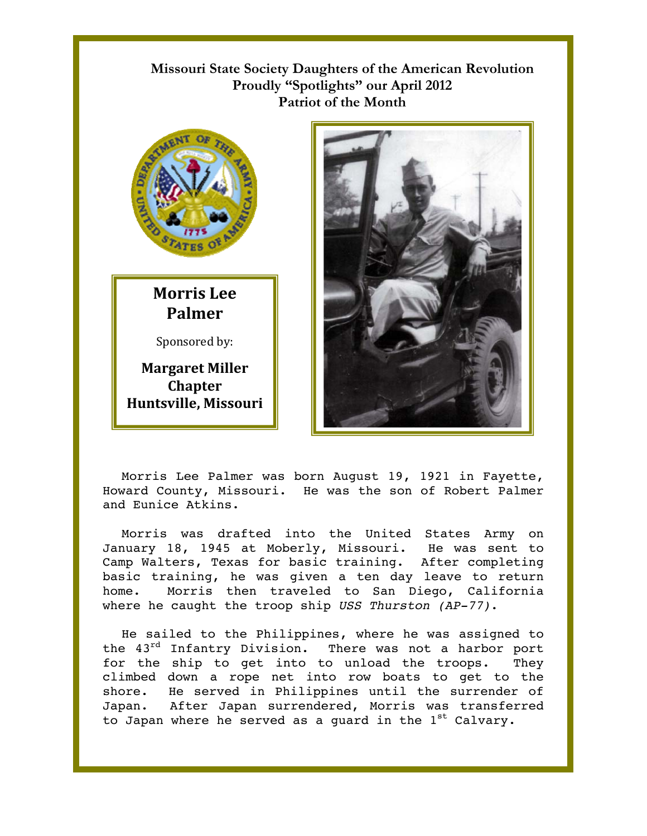## **Missouri State Society Daughters of the American Revolution**  Proudly "Spotlights" our April 2012 **Patriot of the Month**



## **Morris Lee Palmer**

Sponsored by:

**Margaret Miller Chapter Huntsville, Missouri** 



Morris Lee Palmer was born August 19, 1921 in Fayette, Howard County, Missouri. He was the son of Robert Palmer and Eunice Atkins.

Morris was drafted into the United States Army on January 18, 1945 at Moberly, Missouri. He was sent to Camp Walters, Texas for basic training. After completing basic training, he was given a ten day leave to return home. Morris then traveled to San Diego, California where he caught the troop ship *USS Thurston (AP-77)*.

He sailed to the Philippines, where he was assigned to the 43<sup>rd</sup> Infantry Division. There was not a harbor port for the ship to get into to unload the troops. They climbed down a rope net into row boats to get to the shore. He served in Philippines until the surrender of Japan. After Japan surrendered, Morris was transferred to Japan where he served as a quard in the  $1<sup>st</sup>$  Calvary.